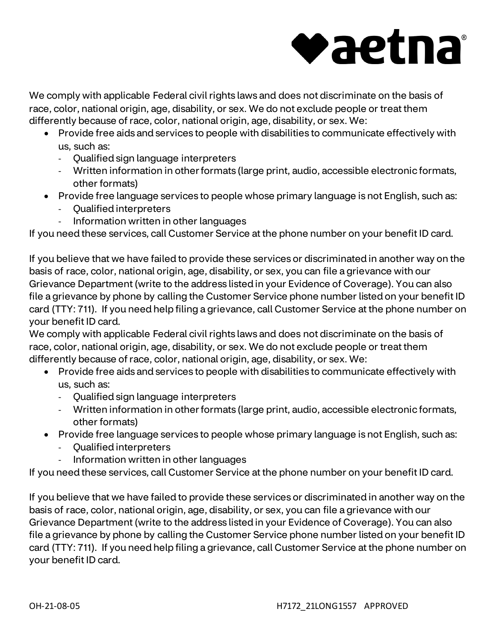## vaetna

We comply with applicable Federal civil rights laws and does not discriminate on the basis of race, color, national origin, age, disability, or sex. We do not exclude people or treat them differently because of race, color, national origin, age, disability, or sex. We:

- Provide free aids and services to people with disabilities to communicate effectively with us, such as:
	- Qualified sign language interpreters
	- Written information in other formats (large print, audio, accessible electronic formats, other formats)
- Provide free language services to people whose primary language is not English, such as:
	- Qualified interpreters
	- Information written in other languages

If you need these services, call Customer Service at the phone number on your benefit ID card.

If you believe that we have failed to provide these services or discriminated in another way on the basis of race, color, national origin, age, disability, or sex, you can file a grievance with our Grievance Department (write to the address listed in your Evidence of Coverage). You can also file a grievance by phone by calling the Customer Service phone number listed on your benefit ID card (TTY: 711). If you need help filing a grievance, call Customer Service at the phone number on your benefit ID card.

We comply with applicable Federal civil rights laws and does not discriminate on the basis of race, color, national origin, age, disability, or sex. We do not exclude people or treat them differently because of race, color, national origin, age, disability, or sex. We:

- Provide free aids and services to people with disabilities to communicate effectively with us, such as:
	- Qualified sign language interpreters
	- Written information in other formats (large print, audio, accessible electronic formats, other formats)
- Provide free language services to people whose primary language is not English, such as:
	- Qualified interpreters
	- Information written in other languages

If you need these services, call Customer Service at the phone number on your benefit ID card.

If you believe that we have failed to provide these services or discriminated in another way on the basis of race, color, national origin, age, disability, or sex, you can file a grievance with our Grievance Department (write to the address listed in your Evidence of Coverage). You can also file a grievance by phone by calling the Customer Service phone number listed on your benefit ID card (TTY: 711). If you need help filing a grievance, call Customer Service at the phone number on your benefit ID card.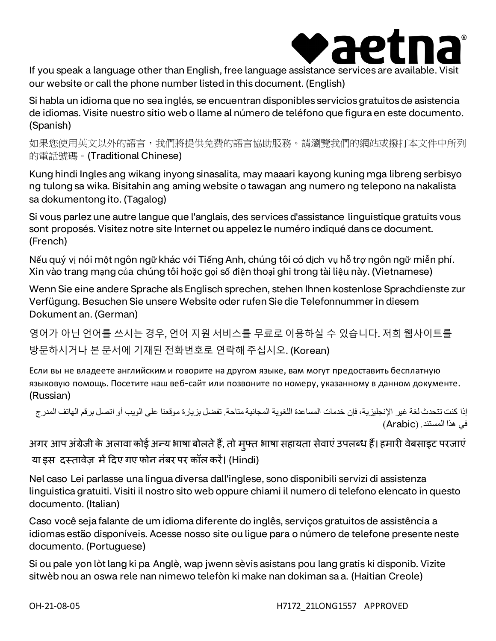

If you speak a language other than English, free language assistance services are available. Visit our website or call the phone number listed in this document. (English)

Si habla un idioma que no sea inglés, se encuentran disponibles servicios gratuitos de asistencia de idiomas. Visite nuestro sitio web o llame al número de teléfono que figura en este documento. (Spanish)

如果您使用英文以外的語言,我們將提供免費的語言協助服務。請瀏覽我們的網站或撥打本文件中所列 的電話號碼。(Traditional Chinese)

Kung hindi Ingles ang wikang inyong sinasalita, may maaari kayong kuning mga libreng serbisyo ng tulong sa wika. Bisitahin ang aming website o tawagan ang numero ng telepono na nakalista sa dokumentong ito. (Tagalog)

Si vous parlez une autre langue que l'anglais, des services d'assistance linguistique gratuits vous sont proposés. Visitez notre site Internet ou appelez le numéro indiqué dans ce document. (French)

Nếu quý vị nói một ngôn ngữ khác với Tiếng Anh, chúng tôi có dịch vụ hỗ trợ ngôn ngữ miễn phí. Xin vào trang mạng của chúng tôi hoặc gọi số điện thoại ghi trong tài liệu này. (Vietnamese)

Wenn Sie eine andere Sprache als Englisch sprechen, stehen Ihnen kostenlose Sprachdienste zur Verfügung. Besuchen Sie unsere Website oder rufen Sie die Telefonnummer in diesem Dokument an. (German)

영어가 아닌 언어를 쓰시는 경우, 언어 지원 서비스를 무료로 이용하실 수 있습니다. 저희 웹사이트를 방문하시거나 본 문서에 기재된 전화번호로 연락해 주십시오. (Korean)

Если вы не владеете английским и говорите на другом языке, вам могут предоставить бесплатную языковую помощь. Посетите наш веб-сайт или позвоните по номеру, указанному в данном документе. (Russian)

إذا كنت تتحدث لغة غیر الإنجلیزیة، فإن خدمات المساعدة اللغویة المجانیة متاحة. تفضل بزیارة موقعنا على الویب أو اتصل برقم الھاتف المدرج في ھذا المستند. (Arabic(

अगर आप अंग्रेजी के अलावा कोई अन्य भाषा बोलते है, तो मुफ्त भाषा सहायता सेवाए उपलब्ध है। हमारी वेबसाइट परजाए या इस दस्तावेज़ में दिए गए फोन नंबर पर कॉल करें। (Hindi)

Nel caso Lei parlasse una lingua diversa dall'inglese, sono disponibili servizi di assistenza linguistica gratuiti. Visiti il nostro sito web oppure chiami il numero di telefono elencato in questo documento. (Italian)

Caso você seja falante de um idioma diferente do inglês, serviços gratuitos de assistência a idiomas estão disponíveis. Acesse nosso site ou ligue para o número de telefone presente neste documento. (Portuguese)

Si ou pale yon lòt lang ki pa Anglè, wap jwenn sèvis asistans pou lang gratis ki disponib. Vizite sitwèb nou an oswa rele nan nimewo telefòn ki make nan dokiman sa a. (Haitian Creole)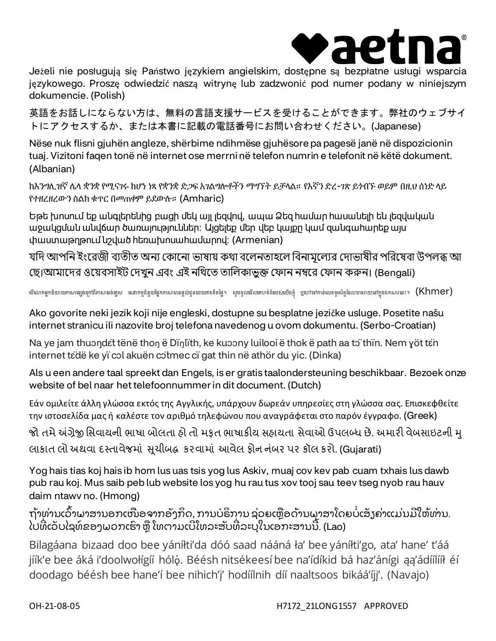

Jeżeli nie posługują się Państwo językiem angielskim, dostępne są bezpłatne usługi wsparcia językowego. Proszę odwiedzić naszą witrynę lub zadzwonić pod numer podany w niniejszym dokumencie. (Polish)

英語をお話しにならない方は、無料の言語支援サービスを受けることができます。弊社のウェブサイ トにアクセスするか、または本書に記載の電話番号にお問い合わせください。(Japanese)

Nëse nuk flisni gjuhën angleze, shërbime ndihmëse gjuhësore pa pagesë janë në dispozicionin tuaj. Vizitoni faqen tonë në internet ose merrni në telefon numrin e telefonit në këtë dokument. (Albanian)

ከእንግሊዝኛ ሌላ ቋንቋ የሚናገሩ ከሆነ ነጻ የቋንቋ ድጋፍ አገልግሎቶችን ማግኘት ይቻላል። የእኛን ድረ-ገጽ ይጎብኙ ወይም በዚህ ሰነድ ላይ የተዘረዘረውን ስልክ ቁጥር በመጠቀም ይደውሉ። (Amharic)

Եթե խոսում եք անգլերենից բացի մեկ այլ լեզվով, ապա Ձեզ համար հասանելի են լեզվական աջակցման անվճար ծառայություններ։ Այցելեք մեր վեբ կայքը կամ զանգահարեք այս փաստաթղթում նշված հեռախոսահամարով։ (Armenian)

যদি আপনি ইংরেজী ব্যতীত অন্য কোনো ভাষায় কথা বলেনতাহলে বিনামূল্যের দোভাষীর পরিষেবা উপলব্ধ আ ছে।আমাদের ওয়েবসাইট দেখুন এবং এই নথিতে তালিকাভুক্ত ফোন নম্বরে ফোন করুন। (Bengali)

ឃីណេកអ្នកនិយាយភាសាផ្សងត្រាកាសាអង់គ្លេស សេវាកម្មជំនួយផ្នែកភាសាមានផ្តល់ជូនដោយឥតគិតផ្ទៃ។ សូមចូលមើលគាប់លើងខ្ញុំ ឬហៅទៅកាន់លេខទូរស័ព្ទដែលមានរាយនៅក្នុងឯកសារនេះ។  $(\mathsf{Khmer})$ 

Ako govorite neki jezik koji nije engleski, dostupne su besplatne jezičke usluge. Posetite našu internet stranicu ili nazovite broj telefona navedenog u ovom dokumentu. (Serbo-Croatian)

Na ye jam thuondɛ̃t tënë thon ë Dïŋlïth, ke kuɔɔny luilooi ë thok ë path aa tɔ̃ thïn. Nem yöt tɛ̃n internet tɛ̈dë ke yï cɔl akuën cɔ̈tmec cï gat thin në athör du yic. (Dinka)

Als u een andere taal spreekt dan Engels, is er gratis taalondersteuning beschikbaar. Bezoek onze website of bel naar het telefoonnummer in dit document. (Dutch)

Εάν ομιλείτε άλλη γλώσσα εκτός της Αγγλικής, υπάρχουν δωρεάν υπηρεσίες στη γλώσσα σας. Επισκεφθείτε την ιστοσελίδα μας ή καλέστε τον αριθμό τηλεφώνου που αναγράφεται στο παρόν έγγραφο. (Greek)

જો તમે અંગ્રેજી સિવાયની ભાષા બોલતા હો તો મફત ભાષાકીય સહાયતા સેવાઓ ઉપલબ્ધ છે. અમારી વેબસાઇટની મૃ લાકાત લો અથવા દસ્તાવેજમાં સૂચીબદ્ધ કરવામાં આવેલ ફોન નંબર પર કૉલ કરો. (Gujarati)

Yog hais tias koj hais ib hom lus uas tsis yog lus Askiv, muaj cov kev pab cuam txhais lus dawb pub rau koj. Mus saib peb lub website los yog hu rau tus xov tooj sau teev tseg nyob rau hauv daim ntawv no. (Hmong)

ຖ້າທ່ານເວົາພາສານອກເໜືອຈາກອັງກິດ, ການບໍຣິການ ຊ່ວຍເຫຼືອດ້ານພາສາໂດຍບໍ່ເສັງຄ່າແມ່ນມີໃຫ້ທ່ານ. ໄປທີ່ເວັບໄຊທ໌ ຂອງພວກເຮົາ ຫຼື ໂທຕາມເບີໂທລະສັບທີ່ລະບຸໃນເອ<sup>ັ</sup>ກະສານນີ້. (Lao)

Bilagáana bizaad doo bee yáníłti'da dóó saad nááná ła' bee yáníłti'go, ata' hane' t'áá jíík'e bee áká i'doolwołígíí hóló. Béésh nitsékeesí bee na'ídíkid bá haz'ánígi ąą'ádíílííł éí doodago béésh bee hane'í bee nihich'į' hodíílnih díí naaltsoos bikáá'íjį'. (Navajo)